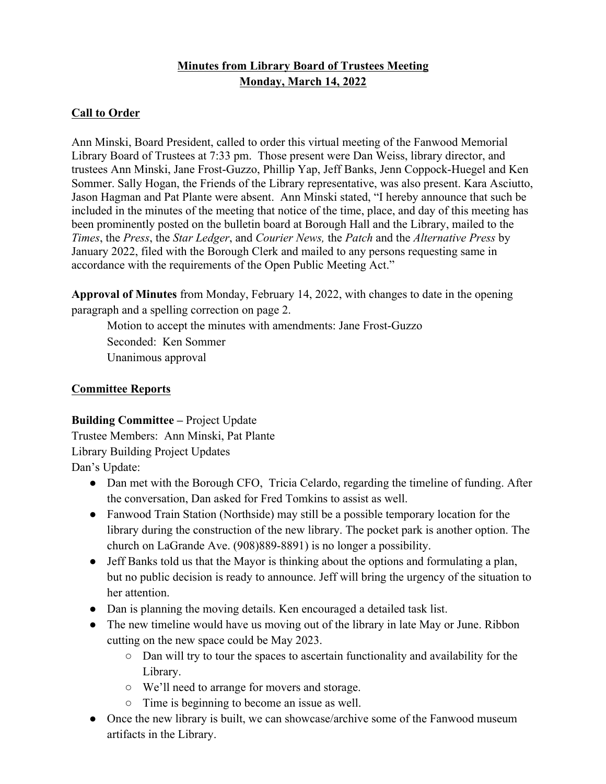# **Minutes from Library Board of Trustees Meeting Monday, March 14, 2022**

## **Call to Order**

Ann Minski, Board President, called to order this virtual meeting of the Fanwood Memorial Library Board of Trustees at 7:33 pm. Those present were Dan Weiss, library director, and trustees Ann Minski, Jane Frost-Guzzo, Phillip Yap, Jeff Banks, Jenn Coppock-Huegel and Ken Sommer. Sally Hogan, the Friends of the Library representative, was also present. Kara Asciutto, Jason Hagman and Pat Plante were absent. Ann Minski stated, "I hereby announce that such be included in the minutes of the meeting that notice of the time, place, and day of this meeting has been prominently posted on the bulletin board at Borough Hall and the Library, mailed to the *Times*, the *Press*, the *Star Ledger*, and *Courier News,* the *Patch* and the *Alternative Press* by January 2022, filed with the Borough Clerk and mailed to any persons requesting same in accordance with the requirements of the Open Public Meeting Act."

**Approval of Minutes** from Monday, February 14, 2022, with changes to date in the opening paragraph and a spelling correction on page 2.

Motion to accept the minutes with amendments: Jane Frost-Guzzo Seconded: Ken Sommer

Unanimous approval

## **Committee Reports**

## **Building Committee –** Project Update

Trustee Members: Ann Minski, Pat Plante Library Building Project Updates

Dan's Update:

- Dan met with the Borough CFO, Tricia Celardo, regarding the timeline of funding. After the conversation, Dan asked for Fred Tomkins to assist as well.
- Fanwood Train Station (Northside) may still be a possible temporary location for the library during the construction of the new library. The pocket park is another option. The church on LaGrande Ave. (908)889-8891) is no longer a possibility.
- Jeff Banks told us that the Mayor is thinking about the options and formulating a plan, but no public decision is ready to announce. Jeff will bring the urgency of the situation to her attention.
- Dan is planning the moving details. Ken encouraged a detailed task list.
- The new timeline would have us moving out of the library in late May or June. Ribbon cutting on the new space could be May 2023.
	- Dan will try to tour the spaces to ascertain functionality and availability for the Library.
	- We'll need to arrange for movers and storage.
	- Time is beginning to become an issue as well.
- Once the new library is built, we can showcase/archive some of the Fanwood museum artifacts in the Library.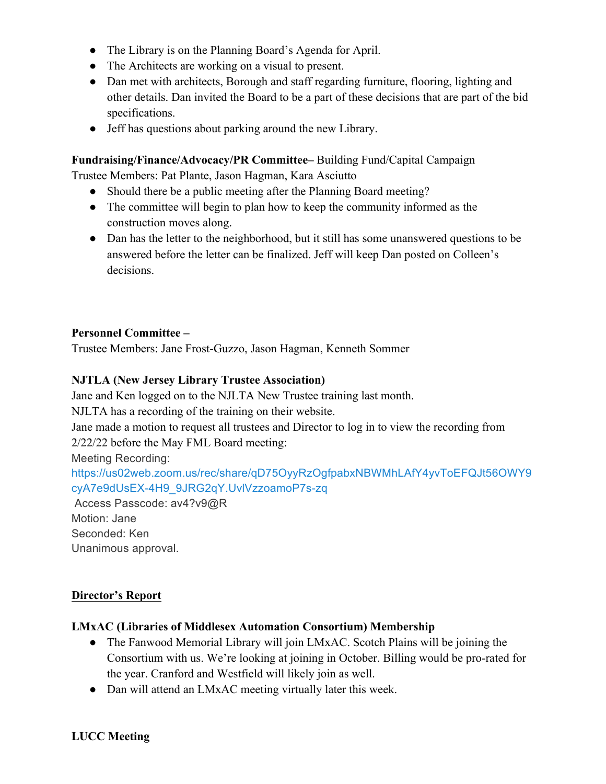- The Library is on the Planning Board's Agenda for April.
- The Architects are working on a visual to present.
- Dan met with architects, Borough and staff regarding furniture, flooring, lighting and other details. Dan invited the Board to be a part of these decisions that are part of the bid specifications.
- Jeff has questions about parking around the new Library.

**Fundraising/Finance/Advocacy/PR Committee–** Building Fund/Capital Campaign

Trustee Members: Pat Plante, Jason Hagman, Kara Asciutto

- Should there be a public meeting after the Planning Board meeting?
- The committee will begin to plan how to keep the community informed as the construction moves along.
- Dan has the letter to the neighborhood, but it still has some unanswered questions to be answered before the letter can be finalized. Jeff will keep Dan posted on Colleen's decisions.

## **Personnel Committee –**

Trustee Members: Jane Frost-Guzzo, Jason Hagman, Kenneth Sommer

## **NJTLA (New Jersey Library Trustee Association)**

Jane and Ken logged on to the NJLTA New Trustee training last month. NJLTA has a recording of the training on their website. Jane made a motion to request all trustees and Director to log in to view the recording from 2/22/22 before the May FML Board meeting: Meeting Recording: https://us02web.zoom.us/rec/share/qD75OyyRzOgfpabxNBWMhLAfY4yvToEFQJt56OWY9 cyA7e9dUsEX-4H9\_9JRG2qY.UvlVzzoamoP7s-zq Access Passcode: av4?v9@R

Motion: Jane Seconded: Ken Unanimous approval.

## **Director's Report**

## **LMxAC (Libraries of Middlesex Automation Consortium) Membership**

- The Fanwood Memorial Library will join LMxAC. Scotch Plains will be joining the Consortium with us. We're looking at joining in October. Billing would be pro-rated for the year. Cranford and Westfield will likely join as well.
- Dan will attend an LMxAC meeting virtually later this week.